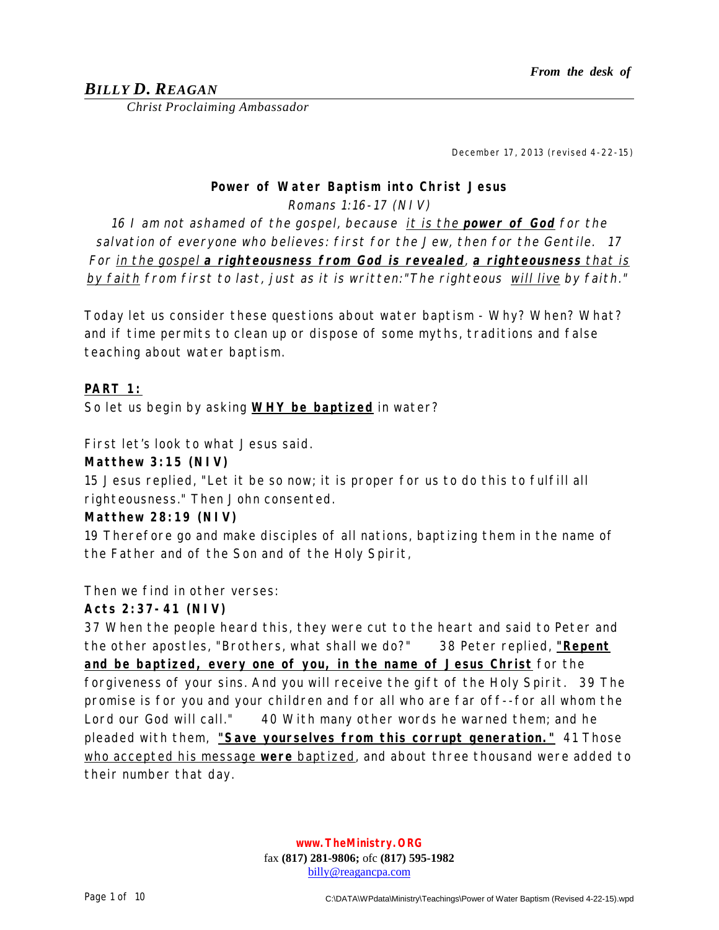# *BILLY D. REAGAN*

*Christ Proclaiming Ambassador*

December 17, 2013 (revised 4-22-15)

#### **Power of Water Baptism into Christ Jesus**

Romans 1:16-17 (NIV)

16 I am not ashamed of the gospel, because it is the **power of God** for the salvation of everyone who believes: first for the Jew, then for the Gentile. 17 For in the gospel **<sup>a</sup> righteousness from God is revealed**, **<sup>a</sup> righteousness** that is by faith from first to last, just as it is written: "The righteous will live by faith."

Today let us consider these questions about water baptism - Why? When? What? and if time permits to clean up or dispose of some myths, traditions and false teaching about water baptism.

## **PART 1:**

So let us begin by asking **WHY be baptized** in water?

First let's look to what Jesus said.

#### **Matthew 3:15 (NIV)**

15 Jesus replied, "Let it be so now; it is proper for us to do this to fulfill all righteousness." Then John consented.

#### **Matthew 28:19 (NIV)**

19 Therefore go and make disciples of all nations, baptizing them in the name of the Father and of the Son and of the Holy Spirit,

Then we find in other verses:

## **Acts 2:37-41 (NIV)**

37 When the people heard this, they were cut to the heart and said to Peter and the other apostles, "Brothers, what shall we do?" 38 Peter replied, **"Repent and be baptized, every one of you, in the name of Jesus Christ** for the forgiveness of your sins. And you will receive the gift of the Holy Spirit. 39 The promise is for you and your children and for all who are far off--for all whom the Lord our God will call." 40 With many other words he warned them; and he pleaded with them, **"Save yourselves from this corrupt generation."** 41 Those who accepted his message **were** baptized, and about three thousand were added to their number that day.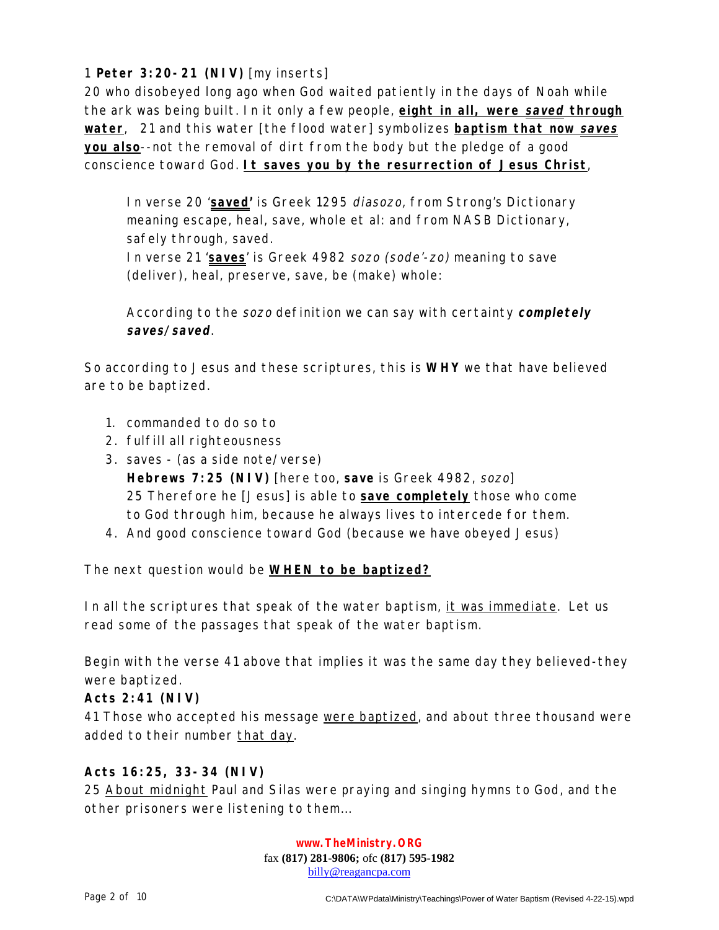1 **Peter 3:20-21 (NIV)** [my inserts]

20 who disobeyed long ago when God waited patiently in the days of Noah while the ark was being built. In it only a few people, **eight in all, were saved through water**, 21 and this water [the flood water] symbolizes **baptism that now saves you also**--not the removal of dirt from the body but the pledge of a good conscience toward God. **It saves you by the resurrection of Jesus Christ**,

In verse 20 '**saved'** is Greek 1295 diasozo, from Strong's Dictionary meaning escape, heal, save, whole et al: and from NASB Dictionary, safely through, saved.

In verse 21 '**saves**' is Greek 4982 sozo (sode'-zo) meaning to save (deliver), heal, preserve, save, be (make) whole:

According to the sozo definition we can say with certainty **completely saves/saved**.

So according to Jesus and these scriptures, this is **WHY** we that have believed are to be baptized.

- 1. commanded to do so to
- 2. fulfill all righteousness
- 3. saves (as a side note/verse) **Hebrews 7:25 (NIV)** [here too, **save** is Greek 4982, sozo] 25 Therefore he [Jesus] is able to **save completely** those who come to God through him, because he always lives to intercede for them.
- 4. And good conscience toward God (because we have obeyed Jesus)

The next question would be **WHEN to be baptized?**

In all the scriptures that speak of the water baptism, it was immediate. Let us read some of the passages that speak of the water baptism.

Begin with the verse 41 above that implies it was the same day they believed-they were baptized.

## **Acts 2:41 (NIV)**

41 Those who accepted his message were baptized, and about three thousand were added to their number that day.

# **Acts 16:25, 33-34 (NIV)**

25 About midnight Paul and Silas were praying and singing hymns to God, and the other prisoners were listening to them...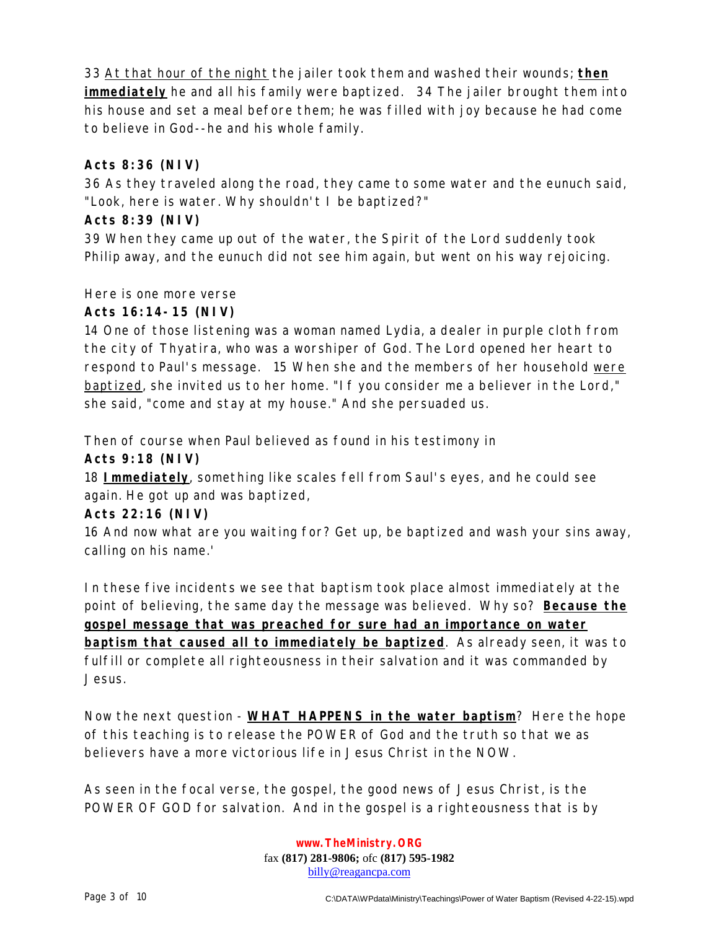33 At that hour of the night the jailer took them and washed their wounds; **then immediately** he and all his family were baptized. 34 The jailer brought them into his house and set a meal before them; he was filled with joy because he had come to believe in God--he and his whole family.

## **Acts 8:36 (NIV)**

36 As they traveled along the road, they came to some water and the eunuch said, "Look, here is water. Why shouldn't I be baptized?"

# **Acts 8:39 (NIV)**

39 When they came up out of the water, the Spirit of the Lord suddenly took Philip away, and the eunuch did not see him again, but went on his way rejoicing.

Here is one more verse

# **Acts 16:14-15 (NIV)**

14 One of those listening was a woman named Lydia, a dealer in purple cloth from the city of Thyatira, who was a worshiper of God. The Lord opened her heart to respond to Paul's message. 15 When she and the members of her household were baptized, she invited us to her home. "If you consider me a believer in the Lord," she said, "come and stay at my house." And she persuaded us.

Then of course when Paul believed as found in his testimony in

**Acts 9:18 (NIV)**

18 **Immediately**, something like scales fell from Saul's eyes, and he could see again. He got up and was baptized,

## **Acts 22:16 (NIV)**

16 And now what are you waiting for? Get up, be baptized and wash your sins away, calling on his name.'

In these five incidents we see that baptism took place almost immediately at the point of believing, the same day the message was believed. Why so? **Because the gospel message that was preached for sure had an importance on water baptism that caused all to immediately be baptized**. As already seen, it was to fulfill or complete all righteousness in their salvation and it was commanded by Jesus.

Now the next question - **WHAT HAPPENS in the water baptism**? Here the hope of this teaching is to release the POWER of God and the truth so that we as believers have a more victorious life in Jesus Christ in the NOW.

As seen in the focal verse, the gospel, the good news of Jesus Christ, is the POWER OF GOD for salvation. And in the gospel is a righteousness that is by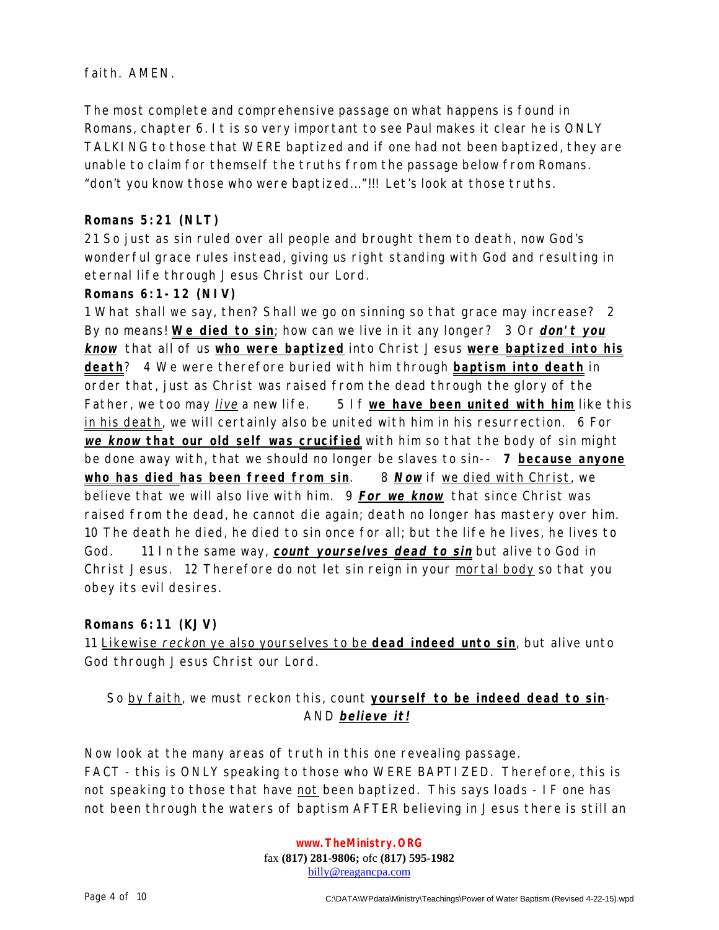faith. AMEN.

The most complete and comprehensive passage on what happens is found in Romans, chapter 6. It is so very important to see Paul makes it clear he is ONLY TALKING to those that WERE baptized and if one had not been baptized, they are unable to claim for themself the truths from the passage below from Romans. "don't you know those who were baptized..."!!! Let's look at those truths.

# **Romans 5:21 (NLT)**

21 So just as sin ruled over all people and brought them to death, now God's wonderful grace rules instead, giving us right standing with God and resulting in eternal life through Jesus Christ our Lord.

## **Romans 6:1-12 (NIV)**

1 What shall we say, then? Shall we go on sinning so that grace may increase? 2 By no means! **We died to sin**; how can we live in it any longer? 3 Or **don't you know** that all of us **who were baptized** into Christ Jesus **were baptized into his death**? 4 We were therefore buried with him through **baptism into death** in order that, just as Christ was raised from the dead through the glory of the Father, we too may live a new life. 5 If **we have been united with him** like this in his death, we will certainly also be united with him in his resurrection. 6 For **we know that our old self was crucified** with him so that the body of sin might be done away with, that we should no longer be slaves to sin-- **7 because anyone who has died has been freed from sin**. 8 **Now** if we died with Christ, we believe that we will also live with him. 9 **For we know** that since Christ was raised from the dead, he cannot die again; death no longer has mastery over him. 10 The death he died, he died to sin once for all; but the life he lives, he lives to God. 11 In the same way, **count yourselves dead to sin** but alive to God in Christ Jesus. 12 Therefore do not let sin reign in your mortal body so that you obey its evil desires.

## **Romans 6:11 (KJV)**

11 Likewise reckon ye also yourselves to be **dead indeed unto sin**, but alive unto God through Jesus Christ our Lord.

# So by faith, we must reckon this, count **yourself to be indeed dead to sin**-AND **believe it!**

Now look at the many areas of truth in this one revealing passage. FACT - this is ONLY speaking to those who WERE BAPTIZED. Therefore, this is not speaking to those that have not been baptized. This says loads - IF one has not been through the waters of baptism AFTER believing in Jesus there is still an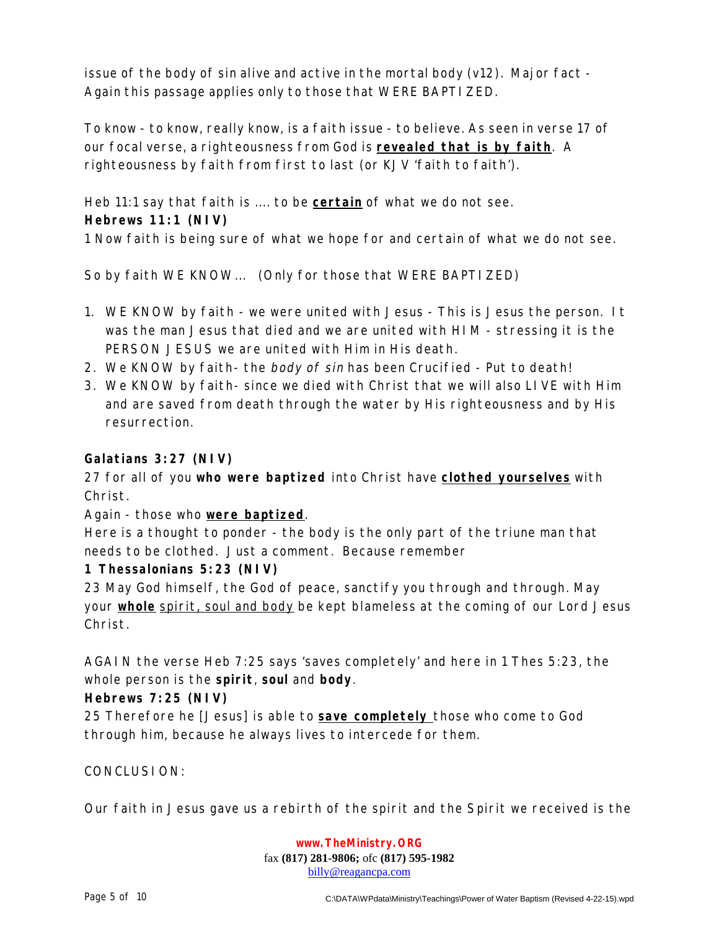issue of the body of sin alive and active in the mortal body (v12). Major fact - Again this passage applies only to those that WERE BAPTIZED.

To know - to know, really know, is a faith issue - to believe. As seen in verse 17 of our focal verse, a righteousness from God is **revealed that is by faith**. A righteousness by faith from first to last (or KJV 'faith to faith').

Heb 11:1 say that faith is .... to be **certain** of what we do not see. **Hebrews 11:1 (NIV)**

1 Now faith is being sure of what we hope for and certain of what we do not see.

So by faith WE KNOW... (Only for those that WERE BAPTIZED)

- 1. WE KNOW by faith we were united with Jesus This is Jesus the person. It was the man Jesus that died and we are united with HIM - stressing it is the PERSON JESUS we are united with Him in His death.
- 2. We KNOW by faith- the body of sin has been Crucified Put to death!
- 3. We KNOW by faith- since we died with Christ that we will also LIVE with Him and are saved from death through the water by His righteousness and by His resurrection.

#### **Galatians 3:27 (NIV)**

27 for all of you **who were baptized** into Christ have **clothed yourselves** with Christ.

Again - those who **were baptized**.

Here is a thought to ponder - the body is the only part of the triune man that needs to be clothed. Just a comment. Because remember

## **1 Thessalonians 5:23 (NIV)**

23 May God himself, the God of peace, sanctify you through and through. May your **whole** spirit, soul and body be kept blameless at the coming of our Lord Jesus Christ.

AGAIN the verse Heb 7:25 says 'saves completely' and here in 1 Thes 5:23, the whole person is the **spirit**, **soul** and **body**.

## **Hebrews 7:25 (NIV)**

25 Therefore he [Jesus] is able to **save completely** those who come to God through him, because he always lives to intercede for them.

CONCLUSION:

Our faith in Jesus gave us a rebirth of the spirit and the Spirit we received is the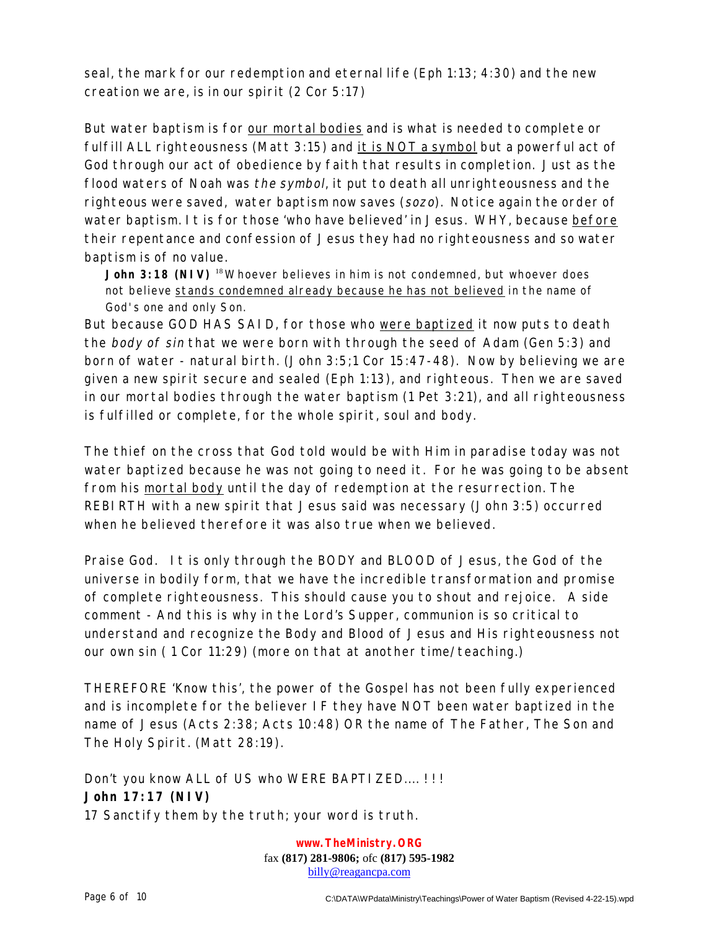seal, the mark for our redemption and eternal life (Eph 1:13; 4:30) and the new creation we are, is in our spirit (2 Cor 5:17)

But water baptism is for our mortal bodies and is what is needed to complete or fulfill ALL righteousness (Matt 3:15) and it is NOT a symbol but a powerful act of God through our act of obedience by faith that results in completion. Just as the flood waters of Noah was the symbol, it put to death all unrighteousness and the righteous were saved, water baptism now saves (sozo). Notice again the order of water baptism. It is for those 'who have believed' in Jesus. WHY, because before their repentance and confession of Jesus they had no righteousness and so water baptism is of no value.

**John 3:18 (NIV)** <sup>18</sup>Whoever believes in him is not condemned, but whoever does not believe stands condemned already because he has not believed in the name of God's one and only Son.

But because GOD HAS SAID, for those who were baptized it now puts to death the body of sin that we were born with through the seed of Adam (Gen 5:3) and born of water - natural birth. (John 3:5;1 Cor 15:47-48). Now by believing we are given a new spirit secure and sealed (Eph 1:13), and righteous. Then we are saved in our mortal bodies through the water baptism (1 Pet 3:21), and all righteousness is fulfilled or complete, for the whole spirit, soul and body.

The thief on the cross that God told would be with Him in paradise today was not water baptized because he was not going to need it. For he was going to be absent from his mortal body until the day of redemption at the resurrection. The REBIRTH with a new spirit that Jesus said was necessary (John 3:5) occurred when he believed therefore it was also true when we believed.

Praise God. It is only through the BODY and BLOOD of Jesus, the God of the universe in bodily form, that we have the incredible transformation and promise of complete righteousness. This should cause you to shout and rejoice. A side comment - And this is why in the Lord's Supper, communion is so critical to understand and recognize the Body and Blood of Jesus and His righteousness not our own sin ( 1 Cor 11:29) (more on that at another time/teaching.)

THEREFORE 'Know this', the power of the Gospel has not been fully experienced and is incomplete for the believer IF they have NOT been water baptized in the name of Jesus (Acts 2:38; Acts 10:48) OR the name of The Father, The Son and The Holy Spirit. (Matt 28:19).

Don't you know ALL of US who WERE BAPTIZED....!!! **John 17:17 (NIV)**  17 Sanctify them by the truth; your word is truth.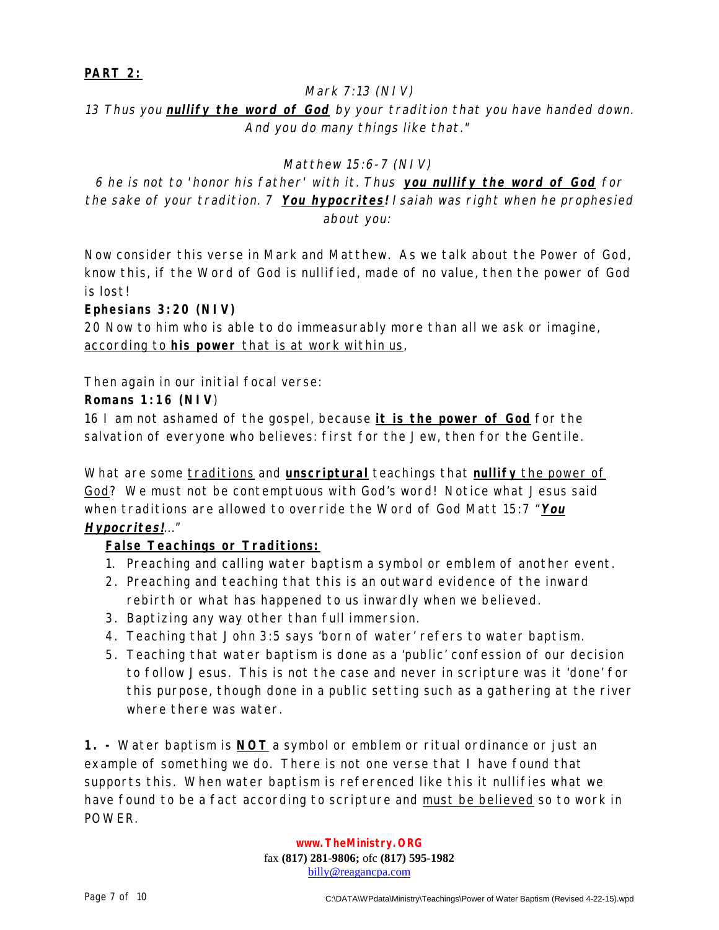## **PART 2:**

#### Mark 7:13 (NIV)

13 Thus you **nullify the word of God** by your tradition that you have handed down. And you do many things like that."

#### Matthew 15:6-7 (NIV)

6 he is not to 'honor his father' with it. Thus **you nullify the word of God** for the sake of your tradition. 7 **You hypocrites!** Isaiah was right when he prophesied about you:

Now consider this verse in Mark and Matthew. As we talk about the Power of God, know this, if the Word of God is nullified, made of no value, then the power of God is lost!

#### **Ephesians 3:20 (NIV)**

20 Now to him who is able to do immeasurably more than all we ask or imagine, according to **his power** that is at work within us,

Then again in our initial focal verse:

#### **Romans 1:16 (NIV**)

16 I am not ashamed of the gospel, because **it is the power of God** for the salvation of everyone who believes: first for the Jew, then for the Gentile.

What are some traditions and **unscriptural** teachings that **nullify** the power of God? We must not be contemptuous with God's word! Notice what Jesus said when traditions are allowed to override the Word of God Matt 15:7 "**You Hypocrites!**..."

## **False Teachings or Traditions:**

- 1. Preaching and calling water baptism a symbol or emblem of another event.
- 2. Preaching and teaching that this is an outward evidence of the inward rebirth or what has happened to us inwardly when we believed.
- 3. Baptizing any way other than full immersion.
- 4. Teaching that John 3:5 says 'born of water' refers to water baptism.
- 5. Teaching that water baptism is done as a 'public' confession of our decision to follow Jesus. This is not the case and never in scripture was it 'done' for this purpose, though done in a public setting such as a gathering at the river where there was water.

**1. -** Water baptism is **NOT** a symbol or emblem or ritual ordinance or just an example of something we do. There is not one verse that I have found that supports this. When water baptism is referenced like this it nullifies what we have found to be a fact according to scripture and must be believed so to work in POWER.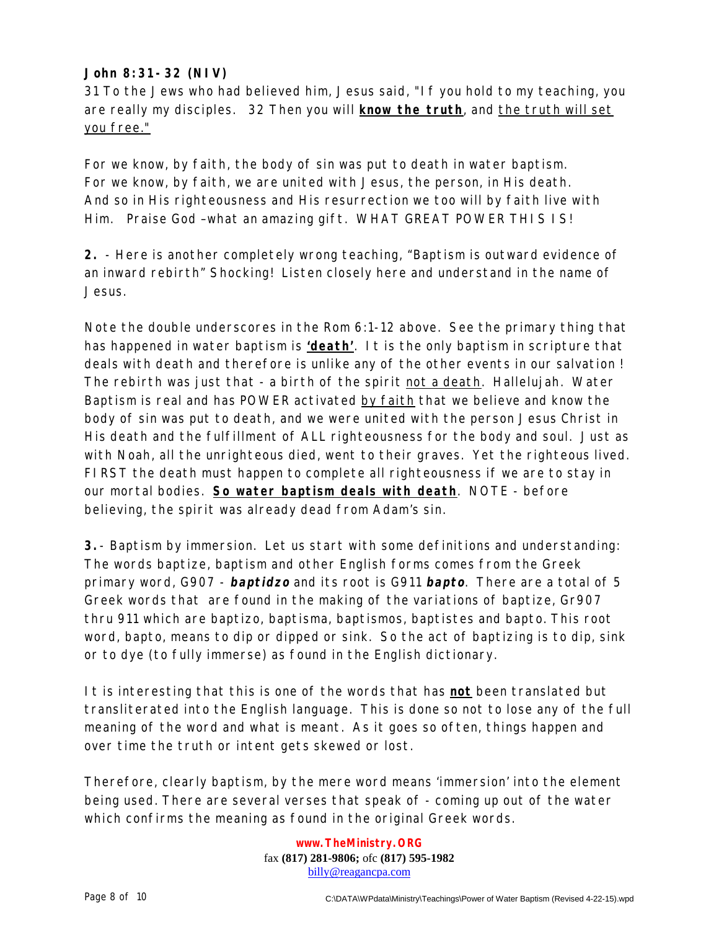# **John 8:31-32 (NIV)**

31 To the Jews who had believed him, Jesus said, "If you hold to my teaching, you are really my disciples. 32 Then you will **know the truth**, and the truth will set you free."

For we know, by faith, the body of sin was put to death in water baptism. For we know, by faith, we are united with Jesus, the person, in His death. And so in His righteousness and His resurrection we too will by faith live with Him. Praise God –what an amazing gift. WHAT GREAT POWER THIS IS!

**2.** - Here is another completely wrong teaching, "Baptism is outward evidence of an inward rebirth" Shocking! Listen closely here and understand in the name of Jesus.

Note the double underscores in the Rom 6:1-12 above. See the primary thing that has happened in water baptism is **'death'**. It is the only baptism in scripture that deals with death and therefore is unlike any of the other events in our salvation ! The rebirth was just that - a birth of the spirit not a death. Hallelujah. Water Baptism is real and has POWER activated by faith that we believe and know the body of sin was put to death, and we were united with the person Jesus Christ in His death and the fulfillment of ALL righteousness for the body and soul. Just as with Noah, all the unrighteous died, went to their graves. Yet the righteous lived. FIRST the death must happen to complete all righteousness if we are to stay in our mortal bodies. **So water baptism deals with death**. NOTE - before believing, the spirit was already dead from Adam's sin.

**3.**- Baptism by immersion. Let us start with some definitions and understanding: The words baptize, baptism and other English forms comes from the Greek primary word, G907 - **baptidzo** and its root is G911 **bapto**. There are a total of 5 Greek words that are found in the making of the variations of baptize, Gr907 thru 911 which are baptizo, baptisma, baptismos, baptistes and bapto. This root word, bapto, means to dip or dipped or sink. So the act of baptizing is to dip, sink or to dye (to fully immerse) as found in the English dictionary.

It is interesting that this is one of the words that has **not** been translated but transliterated into the English language. This is done so not to lose any of the full meaning of the word and what is meant. As it goes so often, things happen and over time the truth or intent gets skewed or lost.

Therefore, clearly baptism, by the mere word means 'immersion' into the element being used. There are several verses that speak of - coming up out of the water which confirms the meaning as found in the original Greek words.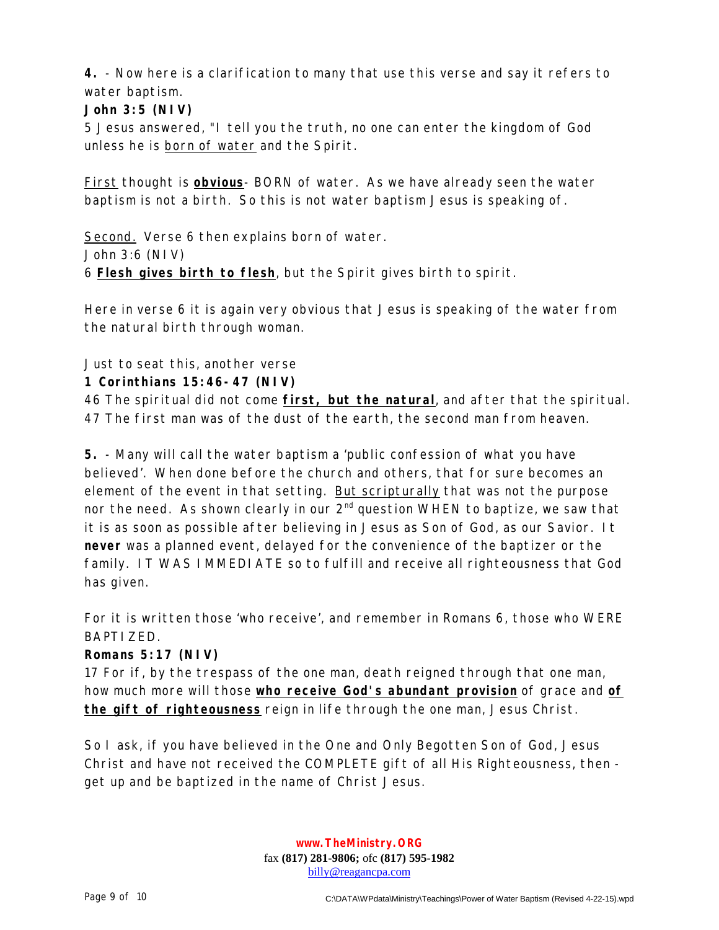**4.** - Now here is a clarification to many that use this verse and say it refers to water baptism.

# **John 3:5 (NIV)**

5 Jesus answered, "I tell you the truth, no one can enter the kingdom of God unless he is born of water and the Spirit.

First thought is **obvious**- BORN of water. As we have already seen the water baptism is not a birth. So this is not water baptism Jesus is speaking of.

Second. Verse 6 then explains born of water. John 3:6 (NIV) 6 **Flesh gives birth to flesh**, but the Spirit gives birth to spirit.

Here in verse 6 it is again very obvious that Jesus is speaking of the water from the natural birth through woman.

Just to seat this, another verse

# **1 Corinthians 15:46-47 (NIV)**

46 The spiritual did not come **first, but the natural**, and after that the spiritual. 47 The first man was of the dust of the earth, the second man from heaven.

**5.** - Many will call the water baptism a 'public confession of what you have believed'. When done before the church and others, that for sure becomes an element of the event in that setting. But scripturally that was not the purpose nor the need. As shown clearly in our  $2^{nd}$  question WHEN to baptize, we saw that it is as soon as possible after believing in Jesus as Son of God, as our Savior. It **never** was a planned event, delayed for the convenience of the baptizer or the family. IT WAS IMMEDIATE so to fulfill and receive all righteousness that God has given.

For it is written those 'who receive', and remember in Romans 6, those who WERE BAPTIZED.

## **Romans 5:17 (NIV)**

17 For if, by the trespass of the one man, death reigned through that one man, how much more will those **who receive God's abundant provision** of grace and **of the gift of righteousness** reign in life through the one man, Jesus Christ.

So I ask, if you have believed in the One and Only Begotten Son of God, Jesus Christ and have not received the COMPLETE gift of all His Righteousness, then get up and be baptized in the name of Christ Jesus.